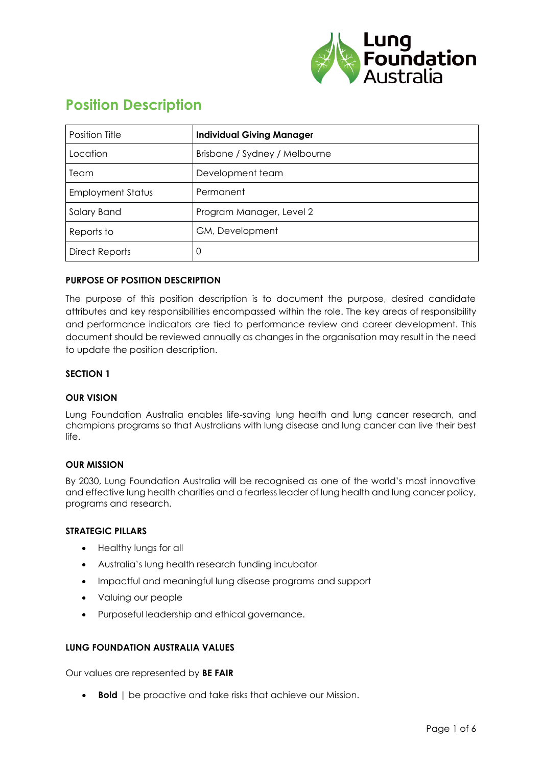

# **Position Description**

| Position Title           | <b>Individual Giving Manager</b> |
|--------------------------|----------------------------------|
| Location                 | Brisbane / Sydney / Melbourne    |
| Team                     | Development team                 |
| <b>Employment Status</b> | Permanent                        |
| Salary Band              | Program Manager, Level 2         |
| Reports to               | GM, Development                  |
| <b>Direct Reports</b>    | 0                                |

# **PURPOSE OF POSITION DESCRIPTION**

The purpose of this position description is to document the purpose, desired candidate attributes and key responsibilities encompassed within the role. The key areas of responsibility and performance indicators are tied to performance review and career development. This document should be reviewed annually as changes in the organisation may result in the need to update the position description.

#### **SECTION 1**

#### **OUR VISION**

Lung Foundation Australia enables life-saving lung health and lung cancer research, and champions programs so that Australians with lung disease and lung cancer can live their best life.

#### **OUR MISSION**

By 2030, Lung Foundation Australia will be recognised as one of the world's most innovative and effective lung health charities and a fearless leader of lung health and lung cancer policy, programs and research.

#### **STRATEGIC PILLARS**

- Healthy lungs for all
- Australia's lung health research funding incubator
- Impactful and meaningful lung disease programs and support
- Valuing our people
- Purposeful leadership and ethical governance.

#### **LUNG FOUNDATION AUSTRALIA VALUES**

Our values are represented by **BE FAIR**

• **Bold** | be proactive and take risks that achieve our Mission.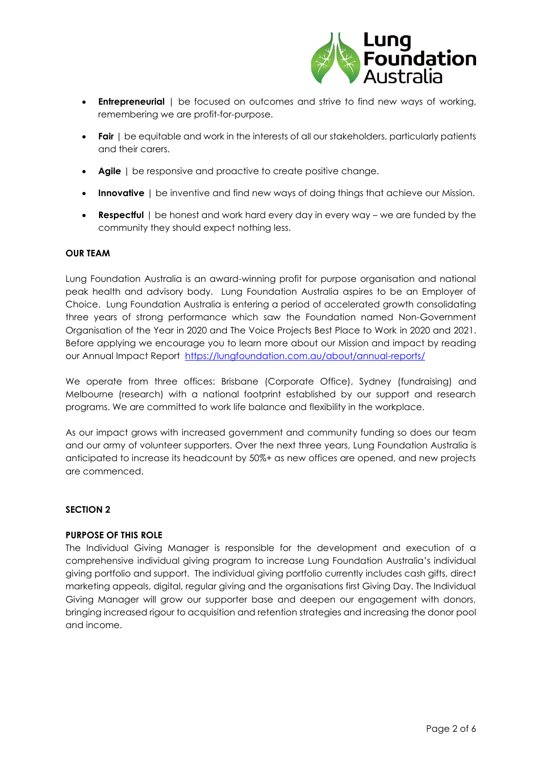

- **Entrepreneurial** | be focused on outcomes and strive to find new ways of working, remembering we are profit-for-purpose.
- **Fair** | be equitable and work in the interests of all our stakeholders, particularly patients and their carers.
- **Agile** | be responsive and proactive to create positive change.
- **Innovative** | be inventive and find new ways of doing things that achieve our Mission.
- **Respectful** | be honest and work hard every day in every way we are funded by the community they should expect nothing less.

#### **OUR TEAM**

Lung Foundation Australia is an award-winning profit for purpose organisation and national peak health and advisory body. Lung Foundation Australia aspires to be an Employer of Choice. Lung Foundation Australia is entering a period of accelerated growth consolidating three years of strong performance which saw the Foundation named Non-Government Organisation of the Year in 2020 and The Voice Projects Best Place to Work in 2020 and 2021. Before applying we encourage you to learn more about our Mission and impact by reading our Annual Impact Report <https://lungfoundation.com.au/about/annual-reports/>

We operate from three offices: Brisbane (Corporate Office), Sydney (fundraising) and Melbourne (research) with a national footprint established by our support and research programs. We are committed to work life balance and flexibility in the workplace.

As our impact grows with increased government and community funding so does our team and our army of volunteer supporters. Over the next three years, Lung Foundation Australia is anticipated to increase its headcount by 50%+ as new offices are opened, and new projects are commenced.

#### **SECTION 2**

#### **PURPOSE OF THIS ROLE**

The Individual Giving Manager is responsible for the development and execution of a comprehensive individual giving program to increase Lung Foundation Australia's individual giving portfolio and support. The individual giving portfolio currently includes cash gifts, direct marketing appeals, digital, regular giving and the organisations first Giving Day. The Individual Giving Manager will grow our supporter base and deepen our engagement with donors, bringing increased rigour to acquisition and retention strategies and increasing the donor pool and income.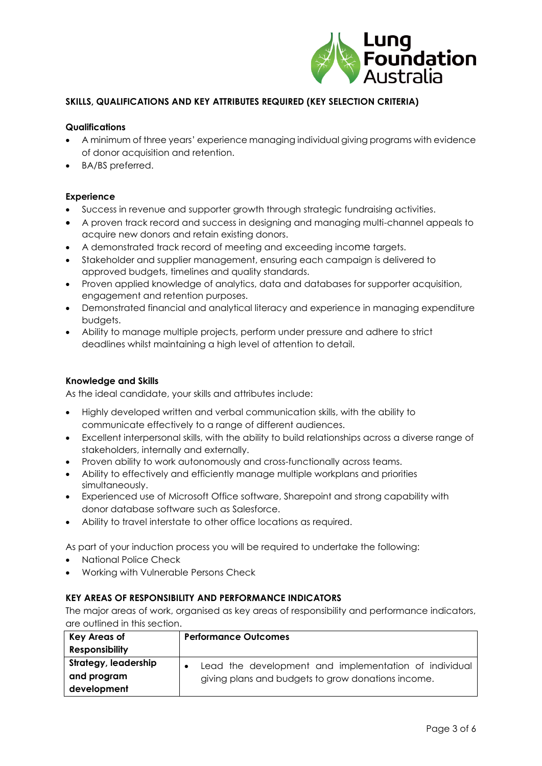

# **SKILLS, QUALIFICATIONS AND KEY ATTRIBUTES REQUIRED (KEY SELECTION CRITERIA)**

#### **Qualifications**

- A minimum of three years' experience managing individual giving programs with evidence of donor acquisition and retention.
- BA/BS preferred.

#### **Experience**

- Success in revenue and supporter growth through strategic fundraising activities.
- A proven track record and success in designing and managing multi-channel appeals to acquire new donors and retain existing donors.
- A demonstrated track record of meeting and exceeding income targets.
- Stakeholder and supplier management, ensuring each campaign is delivered to approved budgets, timelines and quality standards.
- Proven applied knowledge of analytics, data and databases for supporter acquisition, engagement and retention purposes.
- Demonstrated financial and analytical literacy and experience in managing expenditure budgets.
- Ability to manage multiple projects, perform under pressure and adhere to strict deadlines whilst maintaining a high level of attention to detail.

#### **Knowledge and Skills**

As the ideal candidate, your skills and attributes include:

- Highly developed written and verbal communication skills, with the ability to communicate effectively to a range of different audiences.
- Excellent interpersonal skills, with the ability to build relationships across a diverse range of stakeholders, internally and externally.
- Proven ability to work autonomously and cross-functionally across teams.
- Ability to effectively and efficiently manage multiple workplans and priorities simultaneously.
- Experienced use of Microsoft Office software, Sharepoint and strong capability with donor database software such as Salesforce.
- Ability to travel interstate to other office locations as required.

As part of your induction process you will be required to undertake the following:

- National Police Check
- Working with Vulnerable Persons Check

# **KEY AREAS OF RESPONSIBILITY AND PERFORMANCE INDICATORS**

The major areas of work, organised as key areas of responsibility and performance indicators, are outlined in this section.

| <b>Key Areas of</b>   | <b>Performance Outcomes</b>                           |
|-----------------------|-------------------------------------------------------|
| <b>Responsibility</b> |                                                       |
| Strategy, leadership  | Lead the development and implementation of individual |
| and program           | giving plans and budgets to grow donations income.    |
| development           |                                                       |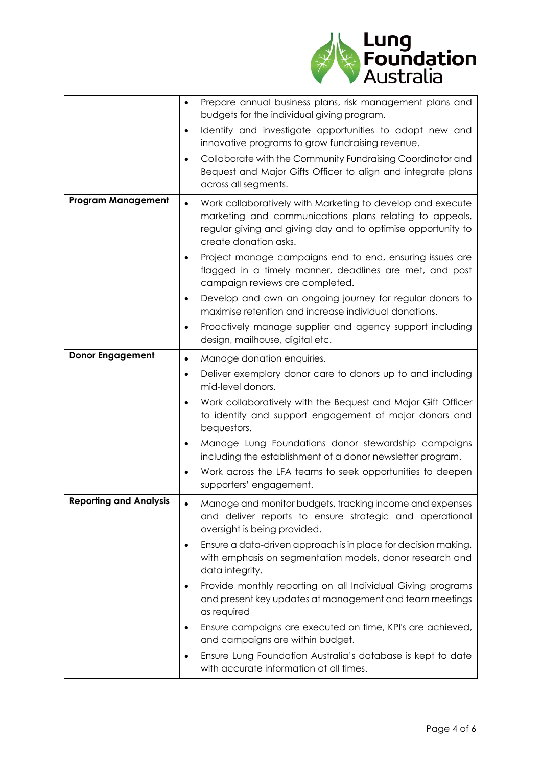

|                               | $\bullet$ | Prepare annual business plans, risk management plans and<br>budgets for the individual giving program.                                                                                                         |
|-------------------------------|-----------|----------------------------------------------------------------------------------------------------------------------------------------------------------------------------------------------------------------|
|                               | $\bullet$ | Identify and investigate opportunities to adopt new and<br>innovative programs to grow fundraising revenue.                                                                                                    |
|                               | ٠         | Collaborate with the Community Fundraising Coordinator and<br>Bequest and Major Gifts Officer to align and integrate plans<br>across all segments.                                                             |
| <b>Program Management</b>     | $\bullet$ | Work collaboratively with Marketing to develop and execute<br>marketing and communications plans relating to appeals,<br>regular giving and giving day and to optimise opportunity to<br>create donation asks. |
|                               | ٠         | Project manage campaigns end to end, ensuring issues are<br>flagged in a timely manner, deadlines are met, and post<br>campaign reviews are completed.                                                         |
|                               | $\bullet$ | Develop and own an ongoing journey for regular donors to<br>maximise retention and increase individual donations.                                                                                              |
|                               | ٠         | Proactively manage supplier and agency support including<br>design, mailhouse, digital etc.                                                                                                                    |
| <b>Donor Engagement</b>       | $\bullet$ | Manage donation enquiries.                                                                                                                                                                                     |
|                               | ٠         | Deliver exemplary donor care to donors up to and including<br>mid-level donors.                                                                                                                                |
|                               | ٠         | Work collaboratively with the Bequest and Major Gift Officer<br>to identify and support engagement of major donors and<br>bequestors.                                                                          |
|                               |           | Manage Lung Foundations donor stewardship campaigns<br>including the establishment of a donor newsletter program.                                                                                              |
|                               |           | Work across the LFA teams to seek opportunities to deepen<br>supporters' engagement.                                                                                                                           |
| <b>Reporting and Analysis</b> |           | Manage and monitor budgets, tracking income and expenses<br>and deliver reports to ensure strategic and operational<br>oversight is being provided.                                                            |
|                               |           | Ensure a data-driven approach is in place for decision making,<br>with emphasis on segmentation models, donor research and<br>data integrity.                                                                  |
|                               |           | Provide monthly reporting on all Individual Giving programs<br>and present key updates at management and team meetings<br>as required                                                                          |
|                               | ٠         | Ensure campaigns are executed on time, KPI's are achieved,<br>and campaigns are within budget.                                                                                                                 |
|                               | ٠         | Ensure Lung Foundation Australia's database is kept to date<br>with accurate information at all times.                                                                                                         |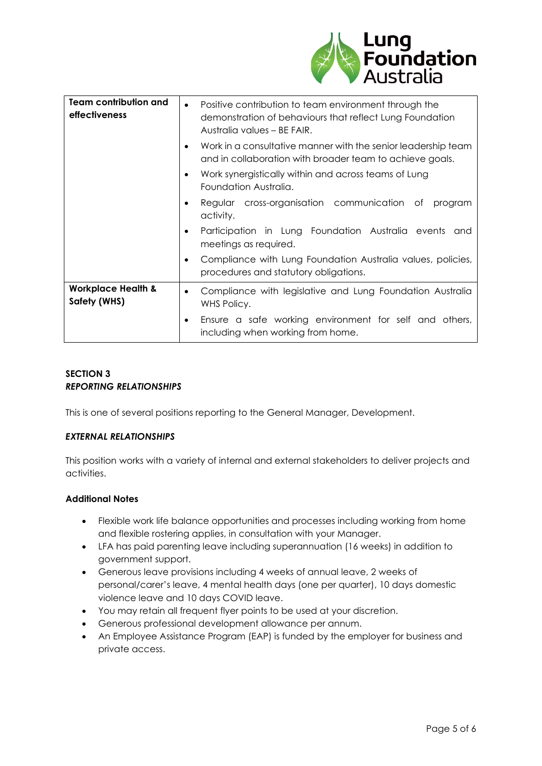

| <b>Team contribution and</b><br>effectiveness | Positive contribution to team environment through the<br>$\bullet$<br>demonstration of behaviours that reflect Lung Foundation<br>Australia values – BE FAIR. |
|-----------------------------------------------|---------------------------------------------------------------------------------------------------------------------------------------------------------------|
|                                               | Work in a consultative manner with the senior leadership team<br>and in collaboration with broader team to achieve goals.                                     |
|                                               | Work synergistically within and across teams of Lung<br>$\bullet$<br>Foundation Australia.                                                                    |
|                                               | Regular cross-organisation communication of<br>program<br>٠<br>activity.                                                                                      |
|                                               | Participation in Lung Foundation Australia events<br>and<br>$\bullet$<br>meetings as required.                                                                |
|                                               | Compliance with Lung Foundation Australia values, policies,<br>$\bullet$<br>procedures and statutory obligations.                                             |
| <b>Workplace Health &amp;</b><br>Safety (WHS) | Compliance with legislative and Lung Foundation Australia<br>$\bullet$<br>WHS Policy.                                                                         |
|                                               | Ensure a safe working environment for self and others,<br>$\bullet$<br>including when working from home.                                                      |

# **SECTION 3** *REPORTING RELATIONSHIPS*

This is one of several positions reporting to the General Manager, Development.

# *EXTERNAL RELATIONSHIPS*

This position works with a variety of internal and external stakeholders to deliver projects and activities.

# **Additional Notes**

- Flexible work life balance opportunities and processes including working from home and flexible rostering applies, in consultation with your Manager.
- LFA has paid parenting leave including superannuation (16 weeks) in addition to government support.
- Generous leave provisions including 4 weeks of annual leave, 2 weeks of personal/carer's leave, 4 mental health days (one per quarter), 10 days domestic violence leave and 10 days COVID leave.
- You may retain all frequent flyer points to be used at your discretion.
- Generous professional development allowance per annum.
- An Employee Assistance Program (EAP) is funded by the employer for business and private access.